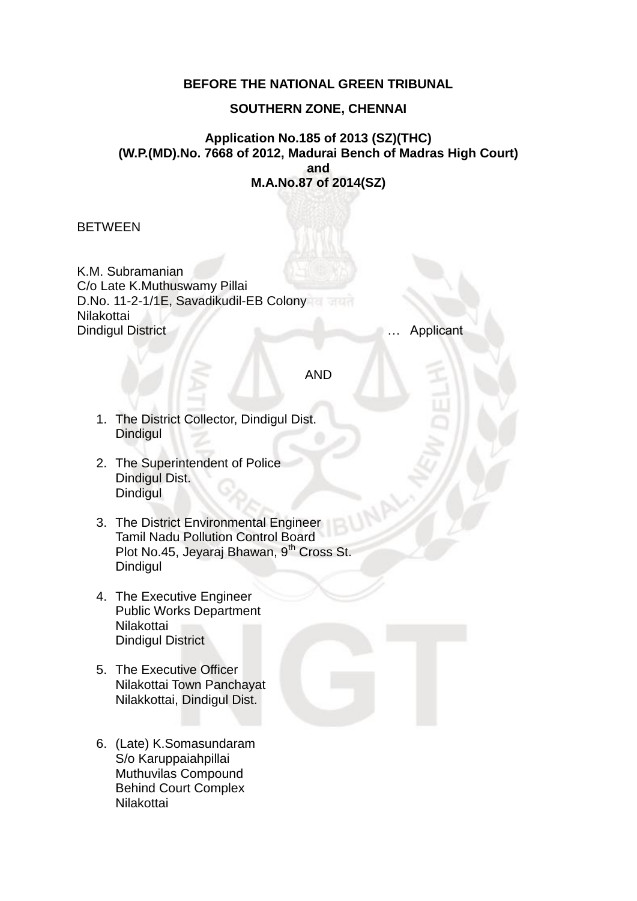## **BEFORE THE NATIONAL GREEN TRIBUNAL**

### **SOUTHERN ZONE, CHENNAI**

### **Application No.185 of 2013 (SZ)(THC) (W.P.(MD).No. 7668 of 2012, Madurai Bench of Madras High Court) and M.A.No.87 of 2014(SZ)**

BETWEEN

K.M. Subramanian C/o Late K.Muthuswamy Pillai D.No. 11-2-1/1E, Savadikudil-EB Colony Nilakottai Dindigul District … Applicant

AND

- 1. The District Collector, Dindigul Dist. **Dindigul**
- 2. The Superintendent of Police Dindigul Dist. **Dindigul**
- 3. The District Environmental Engineer Tamil Nadu Pollution Control Board Plot No.45, Jeyaraj Bhawan, 9<sup>th</sup> Cross St. Dindigul
- 4. The Executive Engineer Public Works Department **Nilakottai** Dindigul District
- 5. The Executive Officer Nilakottai Town Panchayat Nilakkottai, Dindigul Dist.
- 6. (Late) K.Somasundaram S/o Karuppaiahpillai Muthuvilas Compound Behind Court Complex Nilakottai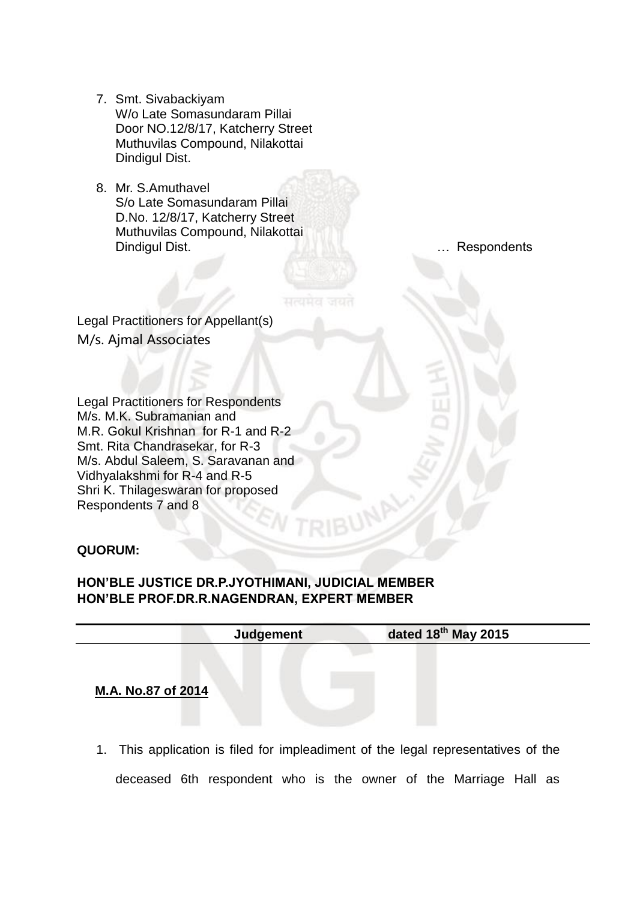- 7. Smt. Sivabackiyam W/o Late Somasundaram Pillai Door NO.12/8/17, Katcherry Street Muthuvilas Compound, Nilakottai Dindigul Dist.
- 8. Mr. S.Amuthavel S/o Late Somasundaram Pillai D.No. 12/8/17, Katcherry Street Muthuvilas Compound, Nilakottai Dindigul Dist. … Respondents

Legal Practitioners for Appellant(s) M/s. Ajmal Associates

Legal Practitioners for Respondents M/s. M.K. Subramanian and M.R. Gokul Krishnan for R-1 and R-2 Smt. Rita Chandrasekar, for R-3 M/s. Abdul Saleem, S. Saravanan and Vidhyalakshmi for R-4 and R-5 Shri K. Thilageswaran for proposed Respondents 7 and 8

#### **QUORUM:**

# **HON'BLE JUSTICE DR.P.JYOTHIMANI, JUDICIAL MEMBER HON'BLE PROF.DR.R.NAGENDRAN, EXPERT MEMBER**

| <b>Judgement</b> | dated $18^{th}$ May 2015 |  |
|------------------|--------------------------|--|
|                  |                          |  |

**M.A. No.87 of 2014** 

1. This application is filed for impleadiment of the legal representatives of the deceased 6th respondent who is the owner of the Marriage Hall as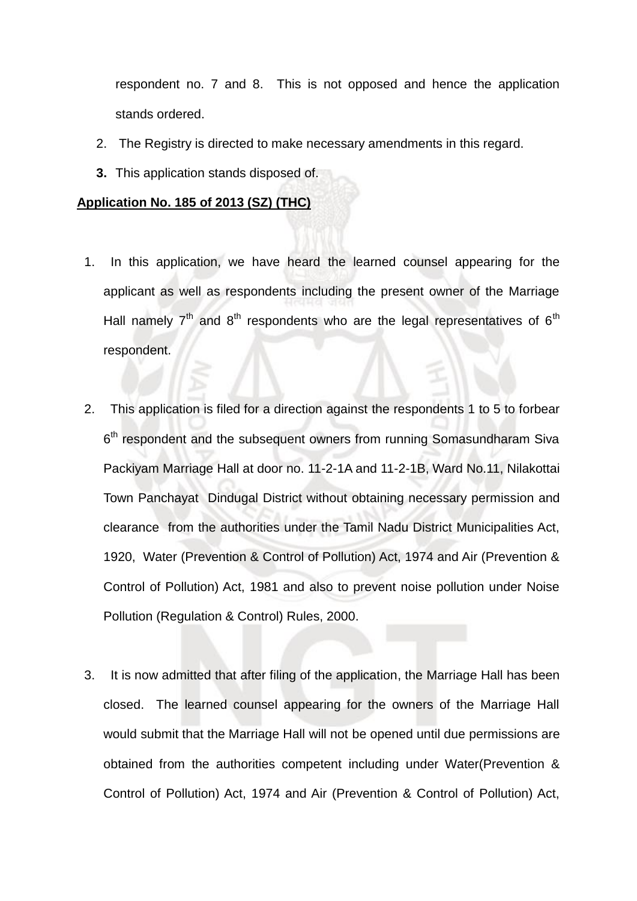respondent no. 7 and 8. This is not opposed and hence the application stands ordered.

- 2. The Registry is directed to make necessary amendments in this regard.
- **3.** This application stands disposed of.

#### **Application No. 185 of 2013 (SZ) (THC)**

- 1. In this application, we have heard the learned counsel appearing for the applicant as well as respondents including the present owner of the Marriage Hall namely  $7<sup>th</sup>$  and  $8<sup>th</sup>$  respondents who are the legal representatives of  $6<sup>th</sup>$ respondent.
- 2. This application is filed for a direction against the respondents 1 to 5 to forbear 6<sup>th</sup> respondent and the subsequent owners from running Somasundharam Siva Packiyam Marriage Hall at door no. 11-2-1A and 11-2-1B, Ward No.11, Nilakottai Town Panchayat Dindugal District without obtaining necessary permission and clearance from the authorities under the Tamil Nadu District Municipalities Act, 1920, Water (Prevention & Control of Pollution) Act, 1974 and Air (Prevention & Control of Pollution) Act, 1981 and also to prevent noise pollution under Noise Pollution (Regulation & Control) Rules, 2000.
- 3. It is now admitted that after filing of the application, the Marriage Hall has been closed. The learned counsel appearing for the owners of the Marriage Hall would submit that the Marriage Hall will not be opened until due permissions are obtained from the authorities competent including under Water(Prevention & Control of Pollution) Act, 1974 and Air (Prevention & Control of Pollution) Act,